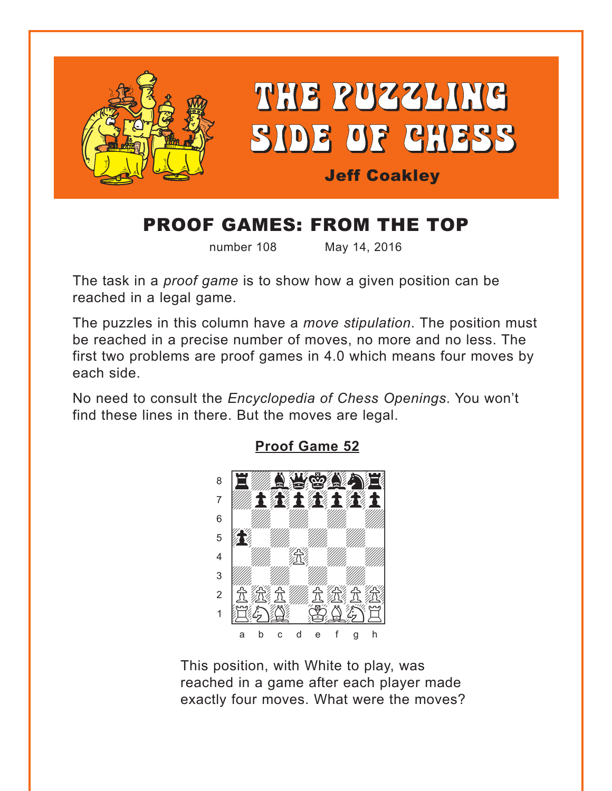<span id="page-0-0"></span>

# PROOF GAMES: FROM THE TOP

number 108 May 14, 2016

The task in a *proof game* is to show how a given position can be reached in a legal game.

The puzzles in this column have a *move stipulation*. The position must be reached in a precise number of moves, no more and no less. The first two problems are proof games in 4.0 which means four moves by each side.

No need to consult the *Encyclopedia of Chess Openings*. You won't find these lines in there. But the moves are legal.



**[Proof Game 52](#page-3-0)**

This position, with White to play, was reached in a game after each player made exactly four moves. What were the moves?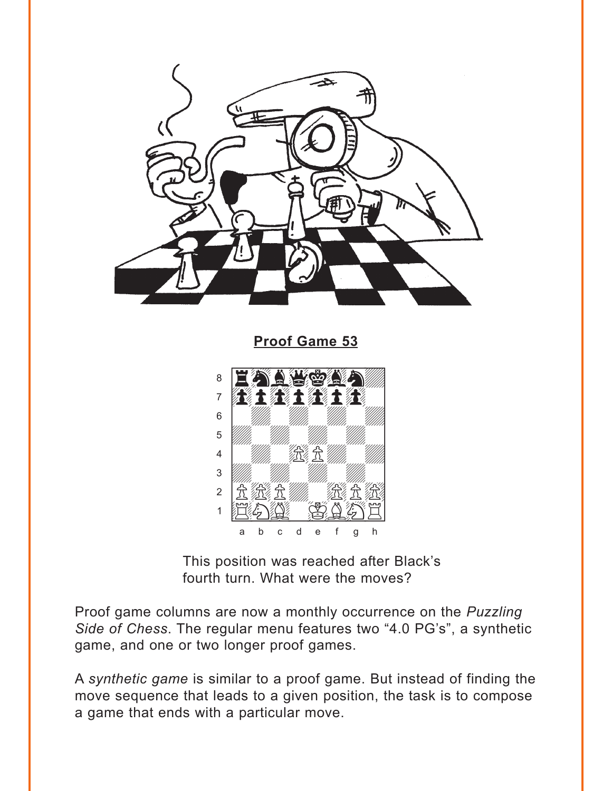<span id="page-1-0"></span>

**Proof Game 53** 



This position was reached after Black's fourth turn. What were the moves?

Proof game columns are now a monthly occurrence on the Puzzling Side of Chess. The regular menu features two "4.0 PG's", a synthetic game, and one or two longer proof games.

A synthetic game is similar to a proof game. But instead of finding the move sequence that leads to a given position, the task is to compose a game that ends with a particular move.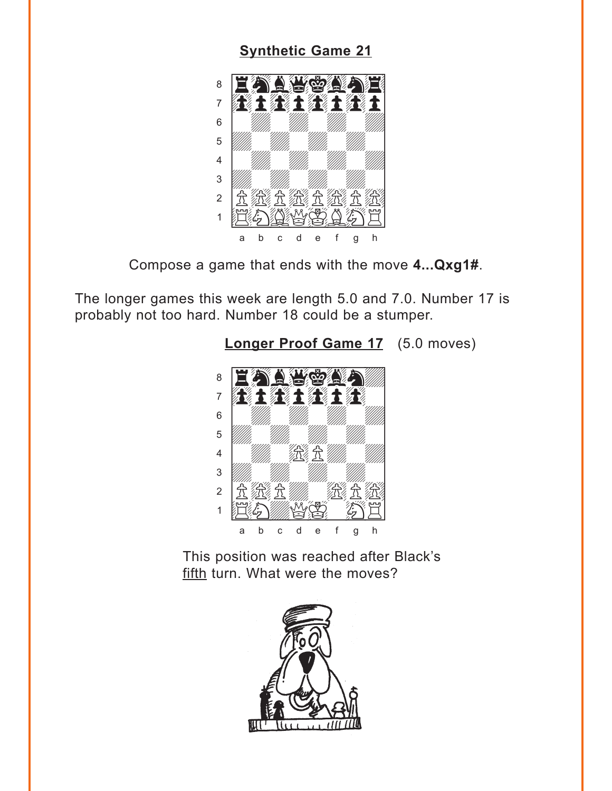#### **[Synthetic Game 21](#page-4-0)**

<span id="page-2-0"></span>

Compose a game that ends with the move **4...Qxg1#**.

The longer games this week are length 5.0 and 7.0. Number 17 is probably not too hard. Number 18 could be a stumper.



**[Longer Proof Game 17](#page-5-0)** (5.0 moves)

This position was reached after Black's fifth turn. What were the moves?

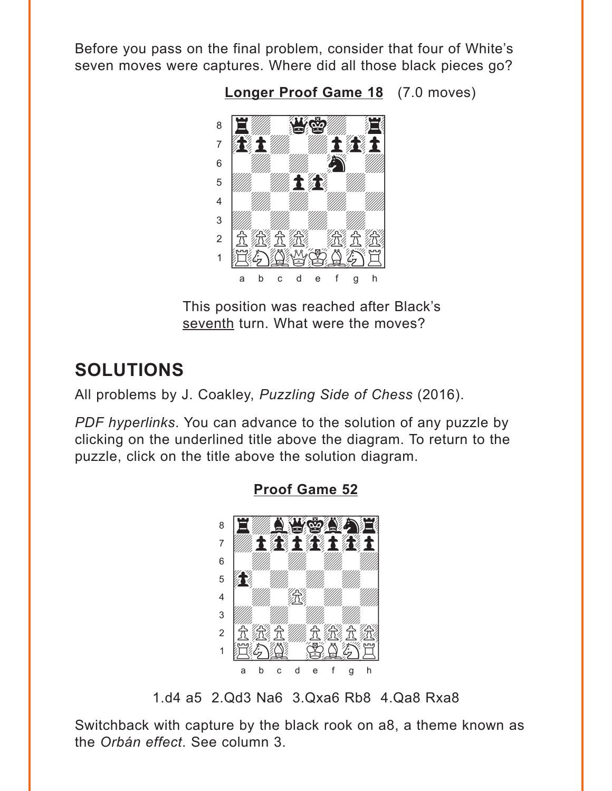<span id="page-3-0"></span>Before you pass on the final problem, consider that four of White's seven moves were captures. Where did all those black pieces go?

**[Longer Proof Game 18](#page-5-0)** (7.0 moves)



This position was reached after Black's seventh turn. What were the moves?

## **SOLUTIONS**

All problems by J. Coakley, *Puzzling Side of Chess* (2016).

*PDF hyperlinks*. You can advance to the solution of any puzzle by clicking on the underlined title above the diagram. To return to the puzzle, click on the title above the solution diagram.



**[Proof Game 52](#page-0-0)**

1.d4 a5 2.Qd3 Na6 3.Qxa6 Rb8 4.Qa8 Rxa8

Switchback with capture by the black rook on a8, a theme known as the *Orbán effect*. See column 3.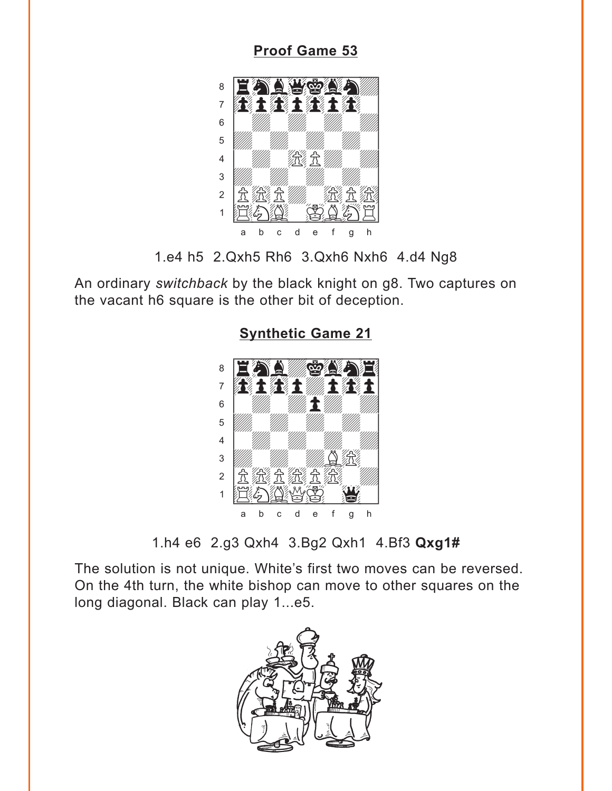### **Proof Game 53**

<span id="page-4-0"></span>

<sup>1.</sup>e4 h5 2.Qxh5 Rh6 3.Qxh6 Nxh6 4.d4 Ng8

An ordinary switchback by the black knight on g8. Two captures on the vacant h6 square is the other bit of deception.



**Synthetic Game 21** 

1.h4 e6 2.g3 Qxh4 3.Bg2 Qxh1 4.Bf3 Qxg1#

The solution is not unique. White's first two moves can be reversed. On the 4th turn, the white bishop can move to other squares on the long diagonal. Black can play 1...e5.